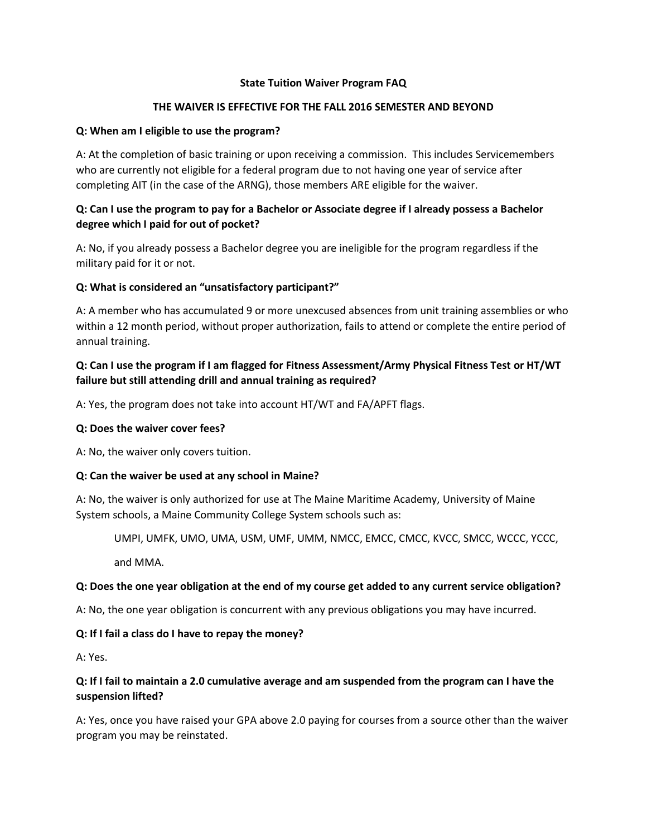### **State Tuition Waiver Program FAQ**

## **THE WAIVER IS EFFECTIVE FOR THE FALL 2016 SEMESTER AND BEYOND**

### **Q: When am I eligible to use the program?**

A: At the completion of basic training or upon receiving a commission. This includes Servicemembers who are currently not eligible for a federal program due to not having one year of service after completing AIT (in the case of the ARNG), those members ARE eligible for the waiver.

# **Q: Can I use the program to pay for a Bachelor or Associate degree if I already possess a Bachelor degree which I paid for out of pocket?**

A: No, if you already possess a Bachelor degree you are ineligible for the program regardless if the military paid for it or not.

## **Q: What is considered an "unsatisfactory participant?"**

A: A member who has accumulated 9 or more unexcused absences from unit training assemblies or who within a 12 month period, without proper authorization, fails to attend or complete the entire period of annual training.

# **Q: Can I use the program if I am flagged for Fitness Assessment/Army Physical Fitness Test or HT/WT failure but still attending drill and annual training as required?**

A: Yes, the program does not take into account HT/WT and FA/APFT flags.

#### **Q: Does the waiver cover fees?**

A: No, the waiver only covers tuition.

#### **Q: Can the waiver be used at any school in Maine?**

A: No, the waiver is only authorized for use at The Maine Maritime Academy, University of Maine System schools, a Maine Community College System schools such as:

UMPI, UMFK, UMO, UMA, USM, UMF, UMM, NMCC, EMCC, CMCC, KVCC, SMCC, WCCC, YCCC,

and MMA.

## **Q: Does the one year obligation at the end of my course get added to any current service obligation?**

A: No, the one year obligation is concurrent with any previous obligations you may have incurred.

## **Q: If I fail a class do I have to repay the money?**

A: Yes.

# **Q: If I fail to maintain a 2.0 cumulative average and am suspended from the program can I have the suspension lifted?**

A: Yes, once you have raised your GPA above 2.0 paying for courses from a source other than the waiver program you may be reinstated.